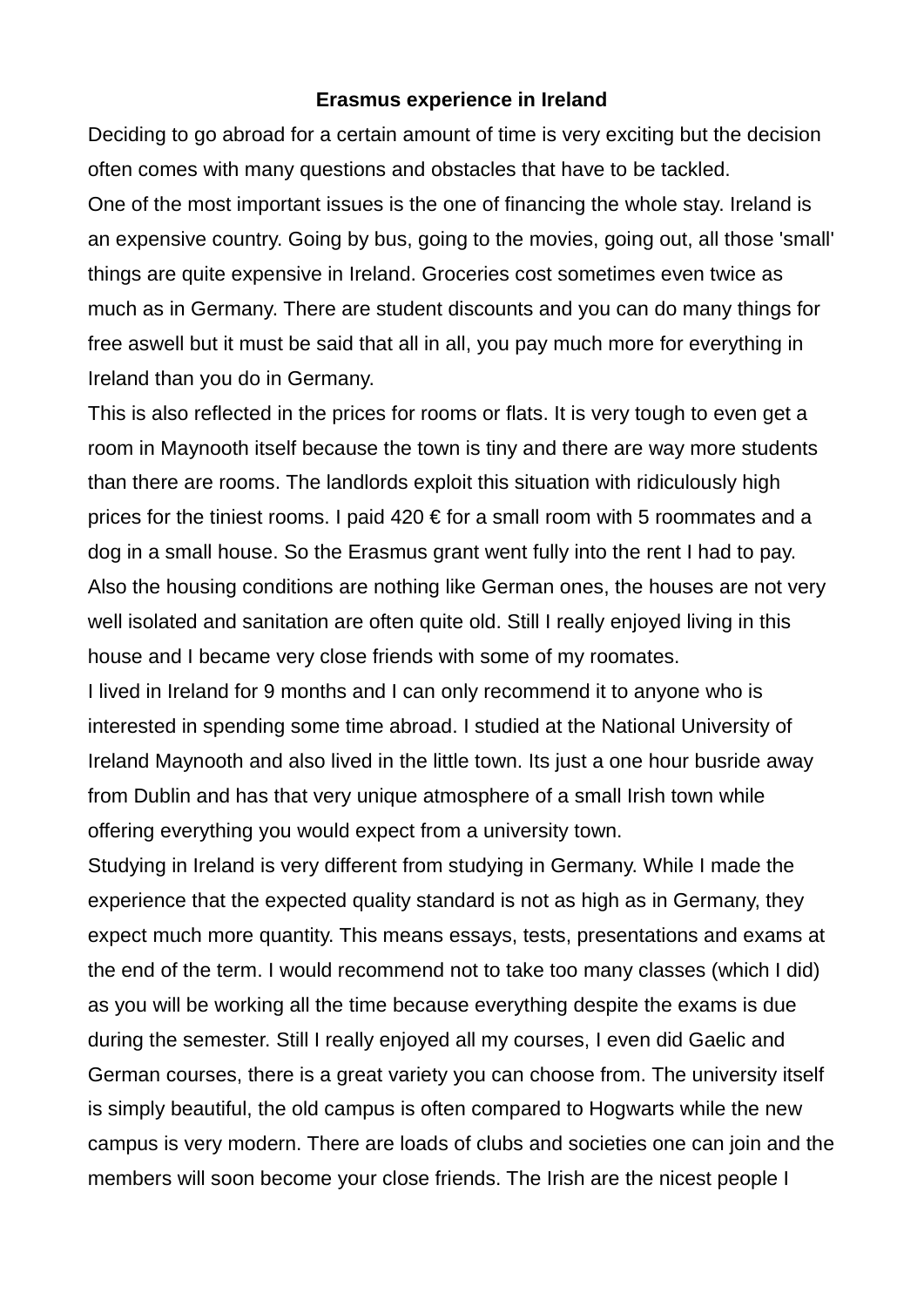## **Erasmus experience in Ireland**

Deciding to go abroad for a certain amount of time is very exciting but the decision often comes with many questions and obstacles that have to be tackled. One of the most important issues is the one of financing the whole stay. Ireland is an expensive country. Going by bus, going to the movies, going out, all those 'small' things are quite expensive in Ireland. Groceries cost sometimes even twice as much as in Germany. There are student discounts and you can do many things for free aswell but it must be said that all in all, you pay much more for everything in Ireland than you do in Germany.

This is also reflected in the prices for rooms or flats. It is very tough to even get a room in Maynooth itself because the town is tiny and there are way more students than there are rooms. The landlords exploit this situation with ridiculously high prices for the tiniest rooms. I paid  $420 \text{ } \in$  for a small room with 5 roommates and a dog in a small house. So the Erasmus grant went fully into the rent I had to pay. Also the housing conditions are nothing like German ones, the houses are not very well isolated and sanitation are often quite old. Still I really enjoyed living in this house and I became very close friends with some of my roomates.

I lived in Ireland for 9 months and I can only recommend it to anyone who is interested in spending some time abroad. I studied at the National University of Ireland Maynooth and also lived in the little town. Its just a one hour busride away from Dublin and has that very unique atmosphere of a small Irish town while offering everything you would expect from a university town.

Studying in Ireland is very different from studying in Germany. While I made the experience that the expected quality standard is not as high as in Germany, they expect much more quantity. This means essays, tests, presentations and exams at the end of the term. I would recommend not to take too many classes (which I did) as you will be working all the time because everything despite the exams is due during the semester. Still I really enjoyed all my courses, I even did Gaelic and German courses, there is a great variety you can choose from. The university itself is simply beautiful, the old campus is often compared to Hogwarts while the new campus is very modern. There are loads of clubs and societies one can join and the members will soon become your close friends. The Irish are the nicest people I